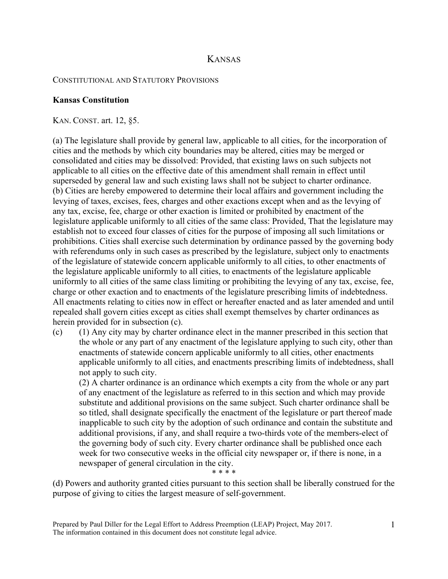# KANSAS

#### CONSTITUTIONAL AND STATUTORY PROVISIONS

### **Kansas Constitution**

KAN. CONST. art. 12, §5.

(a) The legislature shall provide by general law, applicable to all cities, for the incorporation of cities and the methods by which city boundaries may be altered, cities may be merged or consolidated and cities may be dissolved: Provided, that existing laws on such subjects not applicable to all cities on the effective date of this amendment shall remain in effect until superseded by general law and such existing laws shall not be subject to charter ordinance. (b) Cities are hereby empowered to determine their local affairs and government including the levying of taxes, excises, fees, charges and other exactions except when and as the levying of any tax, excise, fee, charge or other exaction is limited or prohibited by enactment of the legislature applicable uniformly to all cities of the same class: Provided, That the legislature may establish not to exceed four classes of cities for the purpose of imposing all such limitations or prohibitions. Cities shall exercise such determination by ordinance passed by the governing body with referendums only in such cases as prescribed by the legislature, subject only to enactments of the legislature of statewide concern applicable uniformly to all cities, to other enactments of the legislature applicable uniformly to all cities, to enactments of the legislature applicable uniformly to all cities of the same class limiting or prohibiting the levying of any tax, excise, fee, charge or other exaction and to enactments of the legislature prescribing limits of indebtedness. All enactments relating to cities now in effect or hereafter enacted and as later amended and until repealed shall govern cities except as cities shall exempt themselves by charter ordinances as herein provided for in subsection (c).

(c) (1) Any city may by charter ordinance elect in the manner prescribed in this section that the whole or any part of any enactment of the legislature applying to such city, other than enactments of statewide concern applicable uniformly to all cities, other enactments applicable uniformly to all cities, and enactments prescribing limits of indebtedness, shall not apply to such city.

(2) A charter ordinance is an ordinance which exempts a city from the whole or any part of any enactment of the legislature as referred to in this section and which may provide substitute and additional provisions on the same subject. Such charter ordinance shall be so titled, shall designate specifically the enactment of the legislature or part thereof made inapplicable to such city by the adoption of such ordinance and contain the substitute and additional provisions, if any, and shall require a two-thirds vote of the members-elect of the governing body of such city. Every charter ordinance shall be published once each week for two consecutive weeks in the official city newspaper or, if there is none, in a newspaper of general circulation in the city.

(d) Powers and authority granted cities pursuant to this section shall be liberally construed for the purpose of giving to cities the largest measure of self-government.

\* \* \* \*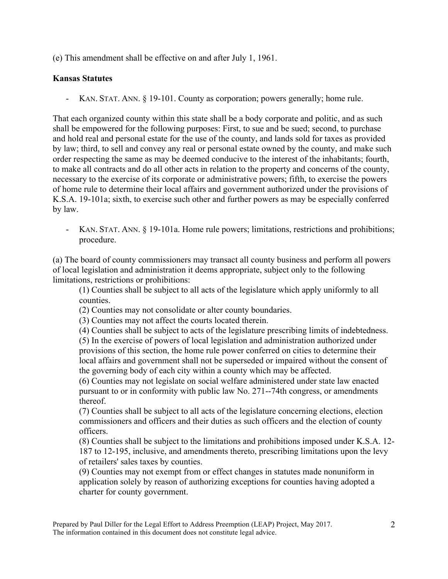(e) This amendment shall be effective on and after July 1, 1961.

## **Kansas Statutes**

- KAN. STAT. ANN. § 19-101. County as corporation; powers generally; home rule.

That each organized county within this state shall be a body corporate and politic, and as such shall be empowered for the following purposes: First, to sue and be sued; second, to purchase and hold real and personal estate for the use of the county, and lands sold for taxes as provided by law; third, to sell and convey any real or personal estate owned by the county, and make such order respecting the same as may be deemed conducive to the interest of the inhabitants; fourth, to make all contracts and do all other acts in relation to the property and concerns of the county, necessary to the exercise of its corporate or administrative powers; fifth, to exercise the powers of home rule to determine their local affairs and government authorized under the provisions of K.S.A. 19-101a; sixth, to exercise such other and further powers as may be especially conferred by law.

- KAN. STAT. ANN. § 19-101a. Home rule powers; limitations, restrictions and prohibitions; procedure.

(a) The board of county commissioners may transact all county business and perform all powers of local legislation and administration it deems appropriate, subject only to the following limitations, restrictions or prohibitions:

(1) Counties shall be subject to all acts of the legislature which apply uniformly to all counties.

(2) Counties may not consolidate or alter county boundaries.

(3) Counties may not affect the courts located therein.

(4) Counties shall be subject to acts of the legislature prescribing limits of indebtedness.

(5) In the exercise of powers of local legislation and administration authorized under provisions of this section, the home rule power conferred on cities to determine their local affairs and government shall not be superseded or impaired without the consent of the governing body of each city within a county which may be affected.

(6) Counties may not legislate on social welfare administered under state law enacted pursuant to or in conformity with public law No. 271--74th congress, or amendments thereof.

(7) Counties shall be subject to all acts of the legislature concerning elections, election commissioners and officers and their duties as such officers and the election of county officers.

(8) Counties shall be subject to the limitations and prohibitions imposed under K.S.A. 12- 187 to 12-195, inclusive, and amendments thereto, prescribing limitations upon the levy of retailers' sales taxes by counties.

(9) Counties may not exempt from or effect changes in statutes made nonuniform in application solely by reason of authorizing exceptions for counties having adopted a charter for county government.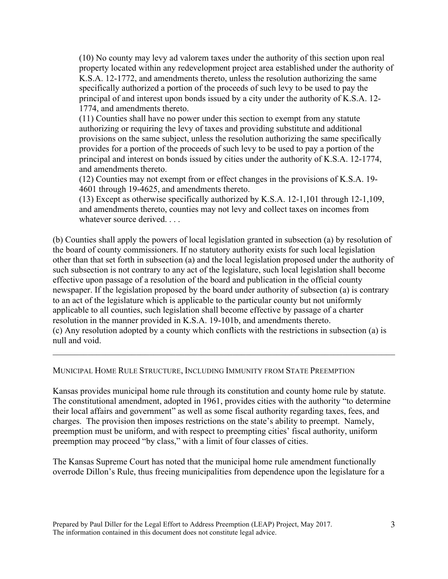(10) No county may levy ad valorem taxes under the authority of this section upon real property located within any redevelopment project area established under the authority of K.S.A. 12-1772, and amendments thereto, unless the resolution authorizing the same specifically authorized a portion of the proceeds of such levy to be used to pay the principal of and interest upon bonds issued by a city under the authority of K.S.A. 12- 1774, and amendments thereto.

(11) Counties shall have no power under this section to exempt from any statute authorizing or requiring the levy of taxes and providing substitute and additional provisions on the same subject, unless the resolution authorizing the same specifically provides for a portion of the proceeds of such levy to be used to pay a portion of the principal and interest on bonds issued by cities under the authority of K.S.A. 12-1774, and amendments thereto.

(12) Counties may not exempt from or effect changes in the provisions of K.S.A. 19- 4601 through 19-4625, and amendments thereto.

(13) Except as otherwise specifically authorized by K.S.A. 12-1,101 through 12-1,109, and amendments thereto, counties may not levy and collect taxes on incomes from whatever source derived...

(b) Counties shall apply the powers of local legislation granted in subsection (a) by resolution of the board of county commissioners. If no statutory authority exists for such local legislation other than that set forth in subsection (a) and the local legislation proposed under the authority of such subsection is not contrary to any act of the legislature, such local legislation shall become effective upon passage of a resolution of the board and publication in the official county newspaper. If the legislation proposed by the board under authority of subsection (a) is contrary to an act of the legislature which is applicable to the particular county but not uniformly applicable to all counties, such legislation shall become effective by passage of a charter resolution in the manner provided in K.S.A. 19-101b, and amendments thereto. (c) Any resolution adopted by a county which conflicts with the restrictions in subsection (a) is null and void.

 $\mathcal{L}_\mathcal{L} = \{ \mathcal{L}_\mathcal{L} = \{ \mathcal{L}_\mathcal{L} = \{ \mathcal{L}_\mathcal{L} = \{ \mathcal{L}_\mathcal{L} = \{ \mathcal{L}_\mathcal{L} = \{ \mathcal{L}_\mathcal{L} = \{ \mathcal{L}_\mathcal{L} = \{ \mathcal{L}_\mathcal{L} = \{ \mathcal{L}_\mathcal{L} = \{ \mathcal{L}_\mathcal{L} = \{ \mathcal{L}_\mathcal{L} = \{ \mathcal{L}_\mathcal{L} = \{ \mathcal{L}_\mathcal{L} = \{ \mathcal{L}_\mathcal{$ 

#### MUNICIPAL HOME RULE STRUCTURE, INCLUDING IMMUNITY FROM STATE PREEMPTION

Kansas provides municipal home rule through its constitution and county home rule by statute. The constitutional amendment, adopted in 1961, provides cities with the authority "to determine their local affairs and government" as well as some fiscal authority regarding taxes, fees, and charges. The provision then imposes restrictions on the state's ability to preempt. Namely, preemption must be uniform, and with respect to preempting cities' fiscal authority, uniform preemption may proceed "by class," with a limit of four classes of cities.

The Kansas Supreme Court has noted that the municipal home rule amendment functionally overrode Dillon's Rule, thus freeing municipalities from dependence upon the legislature for a